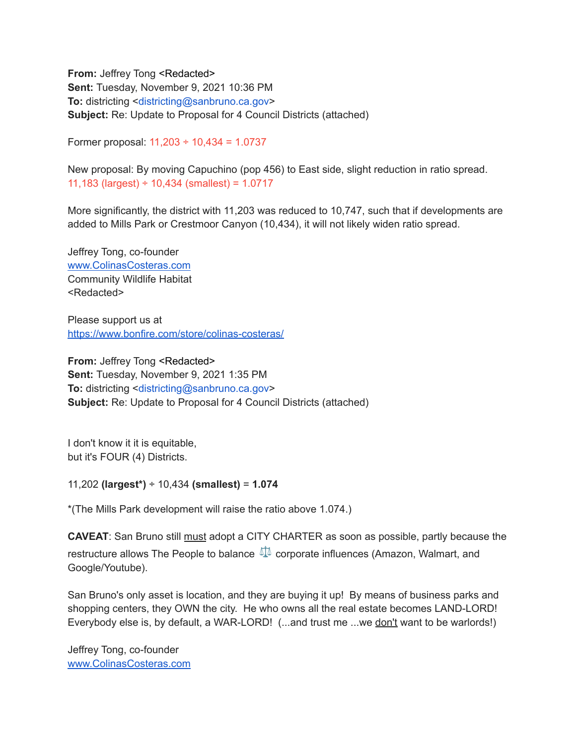**From:** Jeffrey Tong <Redacted> **Sent:** Tuesday, November 9, 2021 10:36 PM **To:** districting <districting@sanbruno.ca.gov> **Subject:** Re: Update to Proposal for 4 Council Districts (attached)

Former proposal: 11,203 ÷ 10,434 = 1.0737

New proposal: By moving Capuchino (pop 456) to East side, slight reduction in ratio spread. 11,183 (largest)  $\div$  10,434 (smallest) = 1.0717

More significantly, the district with 11,203 was reduced to 10,747, such that if developments are added to Mills Park or Crestmoor Canyon (10,434), it will not likely widen ratio spread.

Jeffrey Tong, co-founder [www.ColinasCosteras.com](http://www.colinascosteras.com/) Community Wildlife Habitat <Redacted>

Please support us at <https://www.bonfire.com/store/colinas-costeras/>

**From:** Jeffrey Tong <Redacted> **Sent:** Tuesday, November 9, 2021 1:35 PM **To:** districting <districting@sanbruno.ca.gov> **Subject:** Re: Update to Proposal for 4 Council Districts (attached)

I don't know it it is equitable, but it's FOUR (4) Districts.

11,202 **(largest\*)** ÷ 10,434 **(smallest)** = **1.074**

\*(The Mills Park development will raise the ratio above 1.074.)

**CAVEAT**: San Bruno still must adopt a CITY CHARTER as soon as possible, partly because the restructure allows The People to balance  $\mathbb{I}$  corporate influences (Amazon, Walmart, and Google/Youtube).

San Bruno's only asset is location, and they are buying it up! By means of business parks and shopping centers, they OWN the city. He who owns all the real estate becomes LAND-LORD! Everybody else is, by default, a WAR-LORD! (...and trust me ...we don't want to be warlords!)

Jeffrey Tong, co-founder [www.ColinasCosteras.com](http://www.colinascosteras.com/)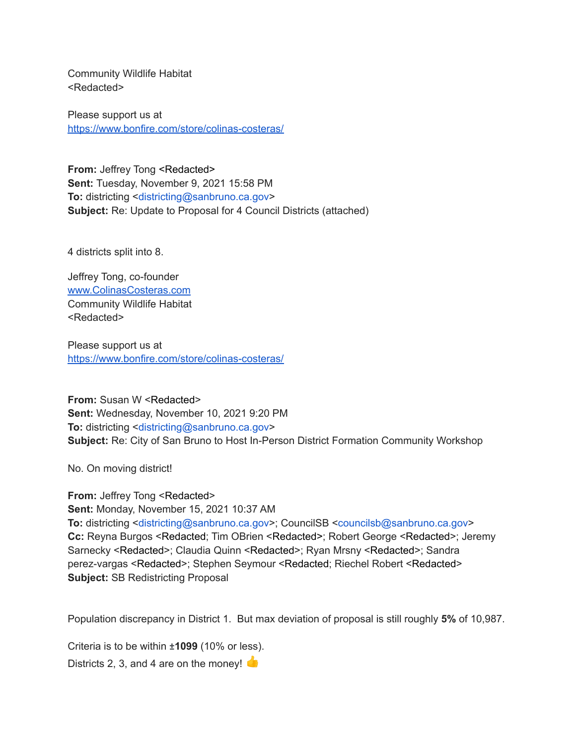Community Wildlife Habitat <Redacted>

Please support us at <https://www.bonfire.com/store/colinas-costeras/>

**From:** Jeffrey Tong <Redacted> **Sent:** Tuesday, November 9, 2021 15:58 PM **To:** districting <districting@sanbruno.ca.gov> **Subject:** Re: Update to Proposal for 4 Council Districts (attached)

4 districts split into 8.

Jeffrey Tong, co-founder [www.ColinasCosteras.com](http://www.colinascosteras.com/) Community Wildlife Habitat <Redacted>

Please support us at <https://www.bonfire.com/store/colinas-costeras/>

**From:** Susan W <Redacted> **Sent:** Wednesday, November 10, 2021 9:20 PM **To:** districting <districting@sanbruno.ca.gov> **Subject:** Re: City of San Bruno to Host In-Person District Formation Community Workshop

No. On moving district!

**From:** Jeffrey Tong <Redacted> **Sent:** Monday, November 15, 2021 10:37 AM **To:** districting <districting@sanbruno.ca.gov>; CouncilSB <councilsb@sanbruno.ca.gov> **Cc:** Reyna Burgos <Redacted; Tim OBrien <Redacted>; Robert George <Redacted>; Jeremy Sarnecky <Redacted>; Claudia Quinn <Redacted>; Ryan Mrsny <Redacted>; Sandra perez-vargas <Redacted>; Stephen Seymour <Redacted; Riechel Robert <Redacted> **Subject:** SB Redistricting Proposal

Population discrepancy in District 1. But max deviation of proposal is still roughly **5%** of 10,987.

Criteria is to be within **±1099** (10% or less).

Districts 2, 3, and 4 are on the money!